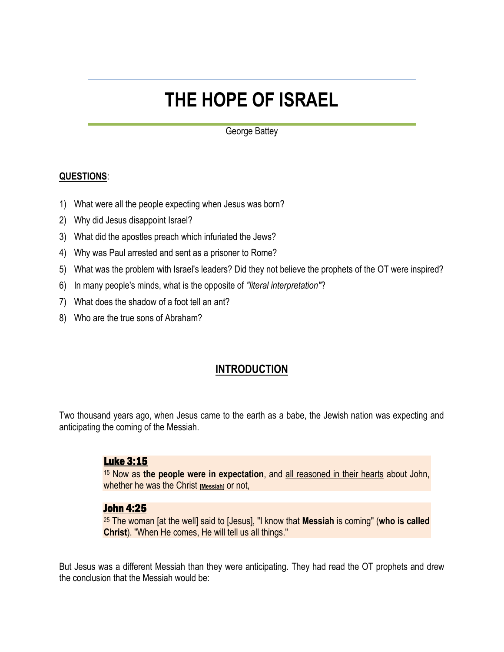# **THE HOPE OF ISRAEL**

George Battey

#### **QUESTIONS**:

- 1) What were all the people expecting when Jesus was born?
- 2) Why did Jesus disappoint Israel?
- 3) What did the apostles preach which infuriated the Jews?
- 4) Why was Paul arrested and sent as a prisoner to Rome?
- 5) What was the problem with Israel's leaders? Did they not believe the prophets of the OT were inspired?
- 6) In many people's minds, what is the opposite of *"literal interpretation"*?
- 7) What does the shadow of a foot tell an ant?
- 8) Who are the true sons of Abraham?

# **INTRODUCTION**

Two thousand years ago, when Jesus came to the earth as a babe, the Jewish nation was expecting and anticipating the coming of the Messiah.

#### Luke 3:15

<sup>15</sup> Now as **the people were in expectation**, and all reasoned in their hearts about John, whether he was the Christ **[Messiah]** or not,

#### John 4:25

<sup>25</sup> The woman [at the well] said to [Jesus], "I know that **Messiah** is coming" (**who is called Christ**). "When He comes, He will tell us all things."

But Jesus was a different Messiah than they were anticipating. They had read the OT prophets and drew the conclusion that the Messiah would be: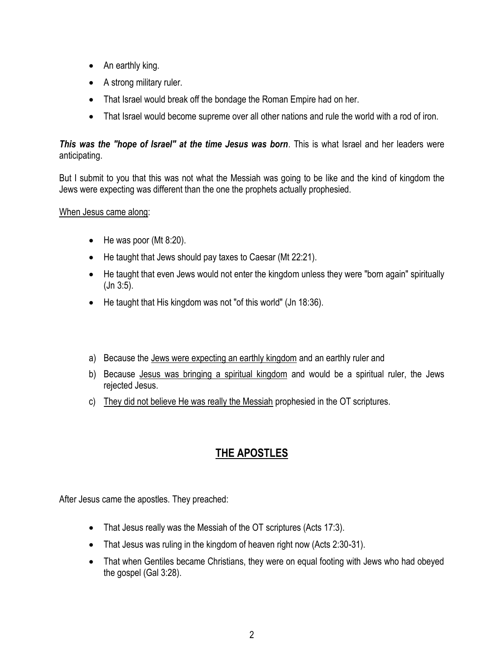- An earthly king.
- A strong military ruler.
- That Israel would break off the bondage the Roman Empire had on her.
- That Israel would become supreme over all other nations and rule the world with a rod of iron.

### *This was the "hope of Israel" at the time Jesus was born*. This is what Israel and her leaders were anticipating.

But I submit to you that this was not what the Messiah was going to be like and the kind of kingdom the Jews were expecting was different than the one the prophets actually prophesied.

#### When Jesus came along:

- $\bullet$  He was poor (Mt 8:20).
- He taught that Jews should pay taxes to Caesar (Mt 22:21).
- He taught that even Jews would not enter the kingdom unless they were "born again" spiritually (Jn 3:5).
- He taught that His kingdom was not "of this world" (Jn 18:36).
- a) Because the Jews were expecting an earthly kingdom and an earthly ruler and
- b) Because Jesus was bringing a spiritual kingdom and would be a spiritual ruler, the Jews rejected Jesus.
- c) They did not believe He was really the Messiah prophesied in the OT scriptures.

# **THE APOSTLES**

After Jesus came the apostles. They preached:

- That Jesus really was the Messiah of the OT scriptures (Acts 17:3).
- That Jesus was ruling in the kingdom of heaven right now (Acts 2:30-31).
- That when Gentiles became Christians, they were on equal footing with Jews who had obeyed the gospel (Gal 3:28).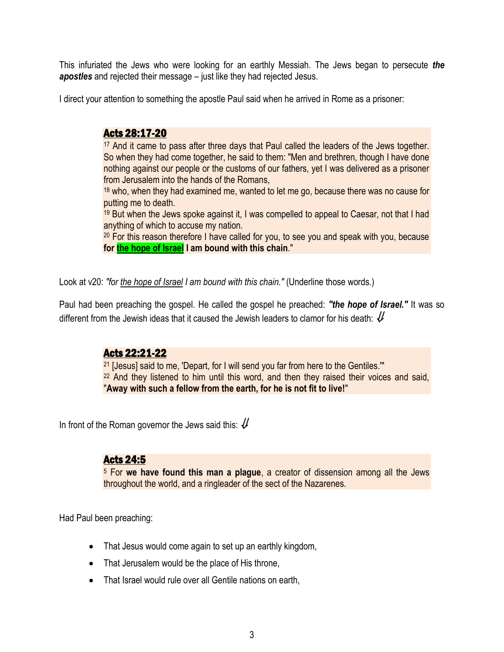This infuriated the Jews who were looking for an earthly Messiah. The Jews began to persecute *the apostles* and rejected their message – just like they had rejected Jesus.

I direct your attention to something the apostle Paul said when he arrived in Rome as a prisoner:

# Acts 28:17-20

<sup>17</sup> And it came to pass after three days that Paul called the leaders of the Jews together. So when they had come together, he said to them: "Men and brethren, though I have done nothing against our people or the customs of our fathers, yet I was delivered as a prisoner from Jerusalem into the hands of the Romans,

<sup>18</sup> who, when they had examined me, wanted to let me go, because there was no cause for putting me to death.

<sup>19</sup> But when the Jews spoke against it, I was compelled to appeal to Caesar, not that I had anything of which to accuse my nation.

<sup>20</sup> For this reason therefore I have called for you, to see you and speak with you, because **for the hope of Israel I am bound with this chain**."

Look at v20: *"for the hope of Israel I am bound with this chain."* (Underline those words.)

Paul had been preaching the gospel. He called the gospel he preached: *"the hope of Israel."* It was so different from the Jewish ideas that it caused the Jewish leaders to clamor for his death:  $\mathcal U$ 

# Acts 22:21-22

<sup>21</sup> [Jesus] said to me, 'Depart, for I will send you far from here to the Gentiles."" <sup>22</sup> And they listened to him until this word, and then they raised their voices and said, "**Away with such a fellow from the earth, for he is not fit to live!**"

In front of the Roman governor the Jews said this:  $\mathcal U$ 

# Acts 24:5

<sup>5</sup> For **we have found this man a plague**, a creator of dissension among all the Jews throughout the world, and a ringleader of the sect of the Nazarenes.

Had Paul been preaching:

- That Jesus would come again to set up an earthly kingdom,
- That Jerusalem would be the place of His throne,
- That Israel would rule over all Gentile nations on earth,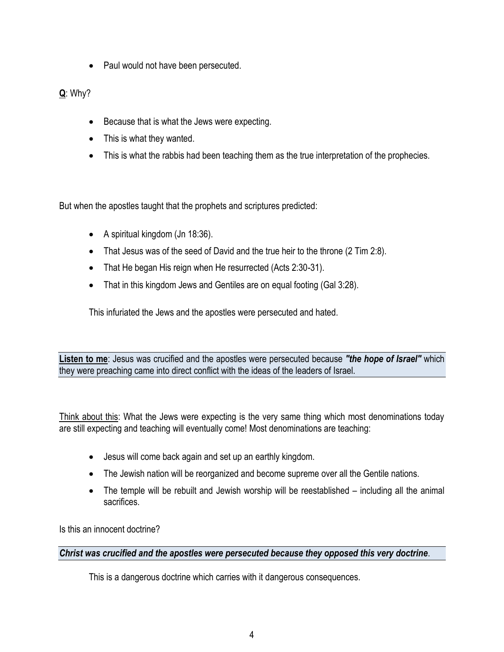• Paul would not have been persecuted.

**Q**: Why?

- Because that is what the Jews were expecting.
- This is what they wanted.
- This is what the rabbis had been teaching them as the true interpretation of the prophecies.

But when the apostles taught that the prophets and scriptures predicted:

- A spiritual kingdom (Jn 18:36).
- That Jesus was of the seed of David and the true heir to the throne (2 Tim 2:8).
- That He began His reign when He resurrected (Acts 2:30-31).
- That in this kingdom Jews and Gentiles are on equal footing (Gal 3:28).

This infuriated the Jews and the apostles were persecuted and hated.

**Listen to me**: Jesus was crucified and the apostles were persecuted because *"the hope of Israel"* which they were preaching came into direct conflict with the ideas of the leaders of Israel.

Think about this: What the Jews were expecting is the very same thing which most denominations today are still expecting and teaching will eventually come! Most denominations are teaching:

- Jesus will come back again and set up an earthly kingdom.
- The Jewish nation will be reorganized and become supreme over all the Gentile nations.
- The temple will be rebuilt and Jewish worship will be reestablished including all the animal sacrifices.

Is this an innocent doctrine?

#### *Christ was crucified and the apostles were persecuted because they opposed this very doctrine*.

This is a dangerous doctrine which carries with it dangerous consequences.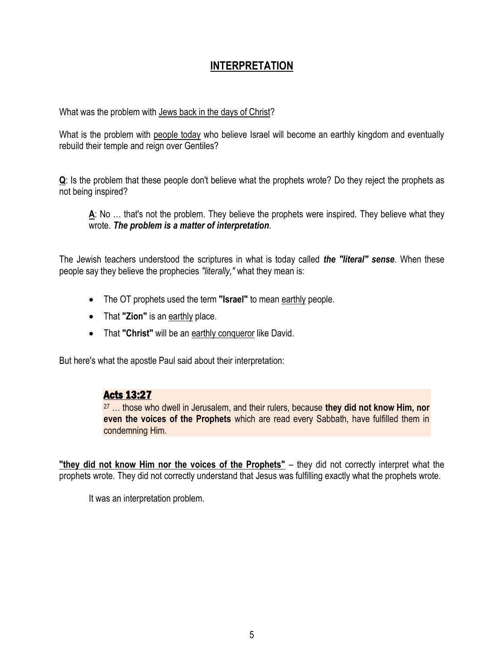# **INTERPRETATION**

What was the problem with Jews back in the days of Christ?

What is the problem with people today who believe Israel will become an earthly kingdom and eventually rebuild their temple and reign over Gentiles?

**Q**: Is the problem that these people don't believe what the prophets wrote? Do they reject the prophets as not being inspired?

**A**: No … that's not the problem. They believe the prophets were inspired. They believe what they wrote. *The problem is a matter of interpretation*.

The Jewish teachers understood the scriptures in what is today called *the "literal" sense*. When these people say they believe the prophecies *"literally,"* what they mean is:

- The OT prophets used the term **"Israel"** to mean earthly people.
- That "**Zion**" is an earthly place.
- That **"Christ"** will be an earthly conqueror like David.

But here's what the apostle Paul said about their interpretation:

# Acts 13:27

<sup>27</sup> … those who dwell in Jerusalem, and their rulers, because **they did not know Him, nor even the voices of the Prophets** which are read every Sabbath, have fulfilled them in condemning Him.

**"they did not know Him nor the voices of the Prophets"** – they did not correctly interpret what the prophets wrote. They did not correctly understand that Jesus was fulfilling exactly what the prophets wrote.

It was an interpretation problem.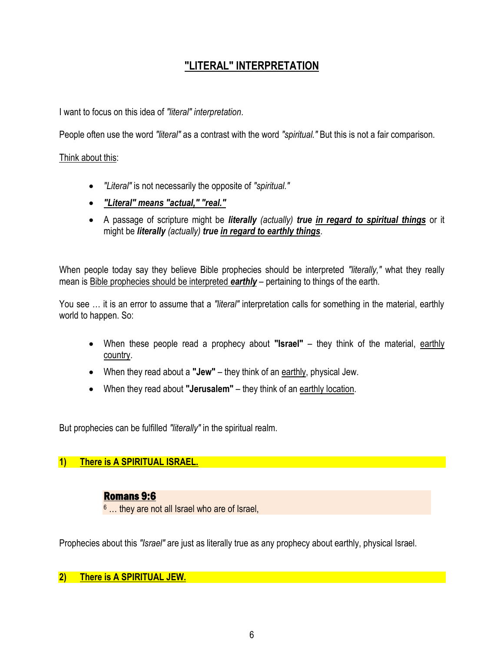# **"LITERAL" INTERPRETATION**

I want to focus on this idea of *"literal" interpretation*.

People often use the word *"literal"* as a contrast with the word *"spiritual."* But this is not a fair comparison.

#### Think about this:

- *"Literal"* is not necessarily the opposite of *"spiritual."*
- *"Literal" means "actual," "real."*
- A passage of scripture might be *literally (actually) true in regard to spiritual things* or it might be *literally (actually) true in regard to earthly things*.

When people today say they believe Bible prophecies should be interpreted *"literally,"* what they really mean is Bible prophecies should be interpreted *earthly* – pertaining to things of the earth.

You see … it is an error to assume that a *"literal"* interpretation calls for something in the material, earthly world to happen. So:

- When these people read a prophecy about **"Israel"** they think of the material, earthly country.
- When they read about a **"Jew"** they think of an earthly, physical Jew.
- When they read about "Jerusalem" they think of an earthly location.

But prophecies can be fulfilled *"literally"* in the spiritual realm.

#### **1) There is A SPIRITUAL ISRAEL.**

# Romans 9:6

<sup>6</sup> … they are not all Israel who are of Israel,

Prophecies about this *"Israel"* are just as literally true as any prophecy about earthly, physical Israel.

# **2) There is A SPIRITUAL JEW.**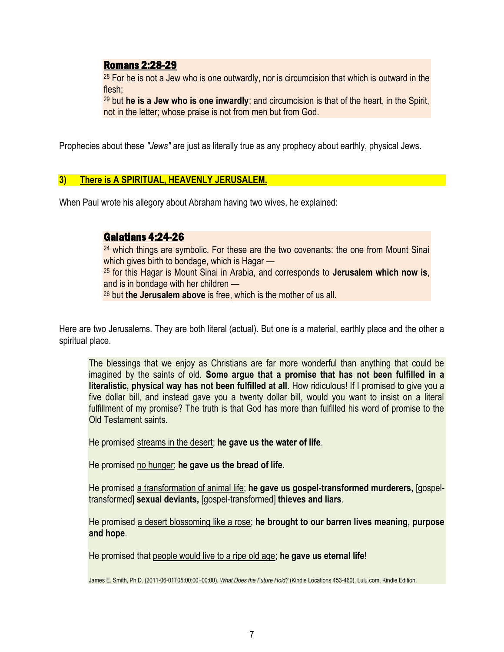#### Romans 2:28-29

<sup>28</sup> For he is not a Jew who is one outwardly, nor is circumcision that which is outward in the flesh;

<sup>29</sup> but **he is a Jew who is one inwardly**; and circumcision is that of the heart, in the Spirit, not in the letter; whose praise is not from men but from God.

Prophecies about these *"Jews"* are just as literally true as any prophecy about earthly, physical Jews.

#### **3) There is A SPIRITUAL, HEAVENLY JERUSALEM.**

When Paul wrote his allegory about Abraham having two wives, he explained:

# Galatians 4:24-26

<sup>24</sup> which things are symbolic. For these are the two covenants: the one from Mount Sinai which gives birth to bondage, which is Hagar — <sup>25</sup> for this Hagar is Mount Sinai in Arabia, and corresponds to **Jerusalem which now is**, and is in bondage with her children — <sup>26</sup> but **the Jerusalem above** is free, which is the mother of us all.

Here are two Jerusalems. They are both literal (actual). But one is a material, earthly place and the other a spiritual place.

The blessings that we enjoy as Christians are far more wonderful than anything that could be imagined by the saints of old. **Some argue that a promise that has not been fulfilled in a literalistic, physical way has not been fulfilled at all**. How ridiculous! If I promised to give you a five dollar bill, and instead gave you a twenty dollar bill, would you want to insist on a literal fulfillment of my promise? The truth is that God has more than fulfilled his word of promise to the Old Testament saints.

He promised streams in the desert; **he gave us the water of life**.

He promised no hunger; **he gave us the bread of life**.

He promised a transformation of animal life; **he gave us gospel-transformed murderers,** [gospeltransformed] **sexual deviants,** [gospel-transformed] **thieves and liars**.

He promised a desert blossoming like a rose; **he brought to our barren lives meaning, purpose and hope**.

He promised that people would live to a ripe old age; **he gave us eternal life**!

James E. Smith, Ph.D. (2011-06-01T05:00:00+00:00). *What Does the Future Hold?* (Kindle Locations 453-460). Lulu.com. Kindle Edition.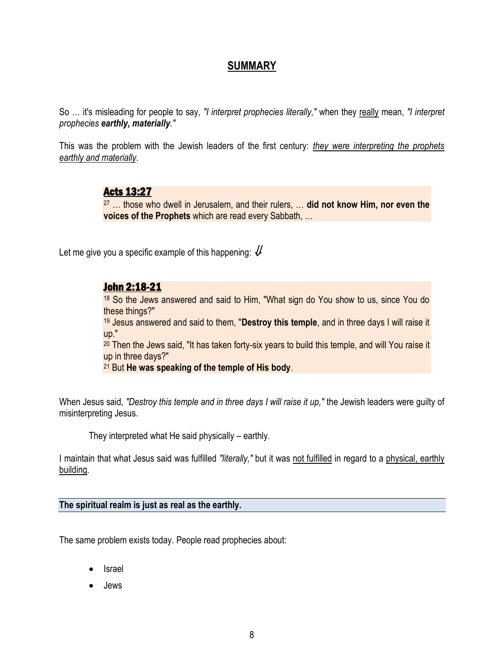# **SUMMARY**

So ... it's misleading for people to say, "I interpret prophecies literally," when they really mean, "I interpret *prophecies earthly, materially."*

This was the problem with the Jewish leaders of the first century: *they were interpreting the prophets earthly and materially*.

# Acts 13:27

<sup>27</sup> … those who dwell in Jerusalem, and their rulers, … **did not know Him, nor even the voices of the Prophets** which are read every Sabbath, …

Let me give you a specific example of this happening:  $\mathcal U$ 

#### John 2:18-21

<sup>18</sup> So the Jews answered and said to Him, "What sign do You show to us, since You do these things?"

<sup>19</sup> Jesus answered and said to them, "**Destroy this temple**, and in three days I will raise it up."

<sup>20</sup> Then the Jews said, "It has taken forty-six years to build this temple, and will You raise it up in three days?"

<sup>21</sup> But **He was speaking of the temple of His body**.

When Jesus said, *"Destroy this temple and in three days I will raise it up,"* the Jewish leaders were guilty of misinterpreting Jesus.

They interpreted what He said physically – earthly.

I maintain that what Jesus said was fulfilled *"literally,"* but it was not fulfilled in regard to a physical, earthly building.

**The spiritual realm is just as real as the earthly.**

The same problem exists today. People read prophecies about:

- Israel
- Jews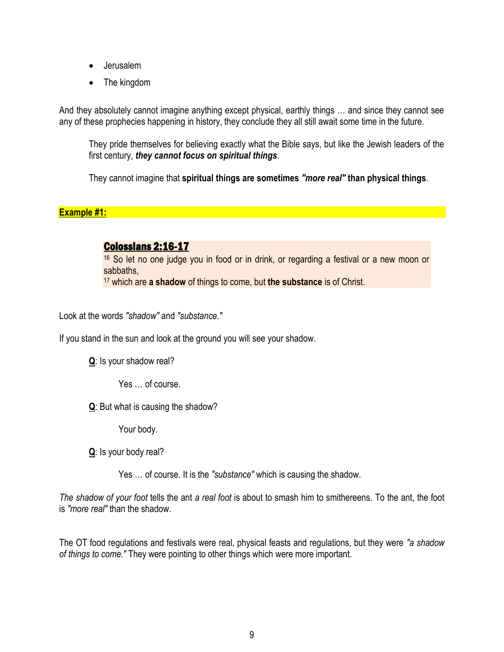- Jerusalem
- The kingdom

And they absolutely cannot imagine anything except physical, earthly things … and since they cannot see any of these prophecies happening in history, they conclude they all still await some time in the future.

They pride themselves for believing exactly what the Bible says, but like the Jewish leaders of the first century, *they cannot focus on spiritual things*.

They cannot imagine that **spiritual things are sometimes** *"more real"* **than physical things**.

#### **Example #1:**

# Colossians 2:16-17

<sup>16</sup> So let no one judge you in food or in drink, or regarding a festival or a new moon or sabbaths, <sup>17</sup> which are **a shadow** of things to come, but **the substance** is of Christ.

Look at the words *"shadow"* and *"substance."*

If you stand in the sun and look at the ground you will see your shadow.

**Q**: Is your shadow real?

Yes … of course.

**Q**: But what is causing the shadow?

Your body.

**Q**: Is your body real?

Yes … of course. It is the *"substance"* which is causing the shadow.

*The shadow of your foot* tells the ant *a real foot* is about to smash him to smithereens. To the ant, the foot is *"more real"* than the shadow.

The OT food regulations and festivals were real, physical feasts and regulations, but they were *"a shadow of things to come."* They were pointing to other things which were more important.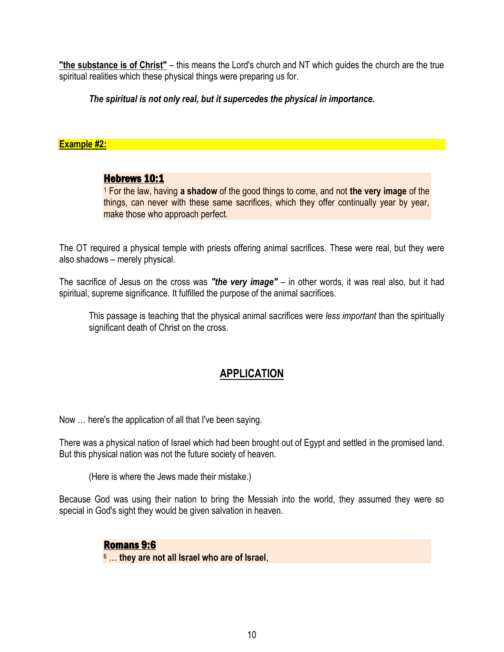**"the substance is of Christ"** – this means the Lord's church and NT which guides the church are the true spiritual realities which these physical things were preparing us for.

#### *The spiritual is not only real, but it supercedes the physical in importance.*

#### **Example #2:**

#### Hebrews 10:1

<sup>1</sup> For the law, having **a shadow** of the good things to come, and not **the very image** of the things, can never with these same sacrifices, which they offer continually year by year, make those who approach perfect.

The OT required a physical temple with priests offering animal sacrifices. These were real, but they were also shadows – merely physical.

The sacrifice of Jesus on the cross was *"the very image"* – in other words, it was real also, but it had spiritual, supreme significance. It fulfilled the purpose of the animal sacrifices.

This passage is teaching that the physical animal sacrifices were *less important* than the spiritually significant death of Christ on the cross.

# **APPLICATION**

Now … here's the application of all that I've been saying.

There was a physical nation of Israel which had been brought out of Egypt and settled in the promised land. But this physical nation was not the future society of heaven.

(Here is where the Jews made their mistake.)

Because God was using their nation to bring the Messiah into the world, they assumed they were so special in God's sight they would be given salvation in heaven.

#### Romans 9:6

<sup>6</sup> … **they are not all Israel who are of Israel**,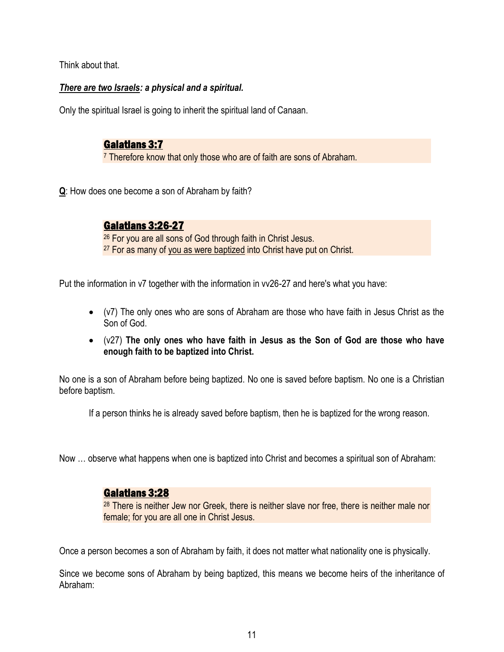Think about that.

### *There are two Israels: a physical and a spiritual.*

Only the spiritual Israel is going to inherit the spiritual land of Canaan.

# Galatians 3:7

<sup>7</sup> Therefore know that only those who are of faith are sons of Abraham.

**Q**: How does one become a son of Abraham by faith?

# Galatians 3:26-27

<sup>26</sup> For you are all sons of God through faith in Christ Jesus. <sup>27</sup> For as many of you as were baptized into Christ have put on Christ.

Put the information in v7 together with the information in vv26-27 and here's what you have:

- (v7) The only ones who are sons of Abraham are those who have faith in Jesus Christ as the Son of God.
- (v27) **The only ones who have faith in Jesus as the Son of God are those who have enough faith to be baptized into Christ.**

No one is a son of Abraham before being baptized. No one is saved before baptism. No one is a Christian before baptism.

If a person thinks he is already saved before baptism, then he is baptized for the wrong reason.

Now … observe what happens when one is baptized into Christ and becomes a spiritual son of Abraham:

# Galatians 3:28

<sup>28</sup> There is neither Jew nor Greek, there is neither slave nor free, there is neither male nor female; for you are all one in Christ Jesus.

Once a person becomes a son of Abraham by faith, it does not matter what nationality one is physically.

Since we become sons of Abraham by being baptized, this means we become heirs of the inheritance of Abraham: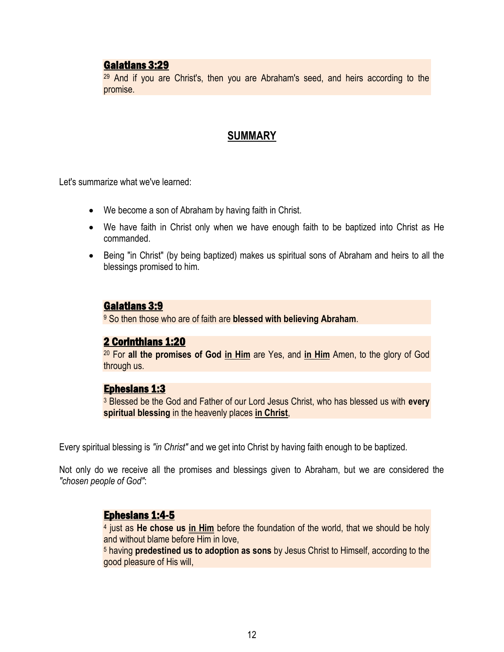#### Galatians 3:29

<sup>29</sup> And if you are Christ's, then you are Abraham's seed, and heirs according to the promise.

#### **SUMMARY**

Let's summarize what we've learned:

- We become a son of Abraham by having faith in Christ.
- We have faith in Christ only when we have enough faith to be baptized into Christ as He commanded.
- Being "in Christ" (by being baptized) makes us spiritual sons of Abraham and heirs to all the blessings promised to him.

# Galatians 3:9

<sup>9</sup> So then those who are of faith are **blessed with believing Abraham**.

#### 2 Corinthians 1:20

<sup>20</sup> For **all the promises of God in Him** are Yes, and **in Him** Amen, to the glory of God through us.

#### Ephesians 1:3

<sup>3</sup> Blessed be the God and Father of our Lord Jesus Christ, who has blessed us with **every spiritual blessing** in the heavenly places **in Christ**,

Every spiritual blessing is *"in Christ"* and we get into Christ by having faith enough to be baptized.

Not only do we receive all the promises and blessings given to Abraham, but we are considered the *"chosen people of God"*:

#### Ephesians 1:4-5

4 just as **He chose us in Him** before the foundation of the world, that we should be holy and without blame before Him in love,

<sup>5</sup> having **predestined us to adoption as sons** by Jesus Christ to Himself, according to the good pleasure of His will,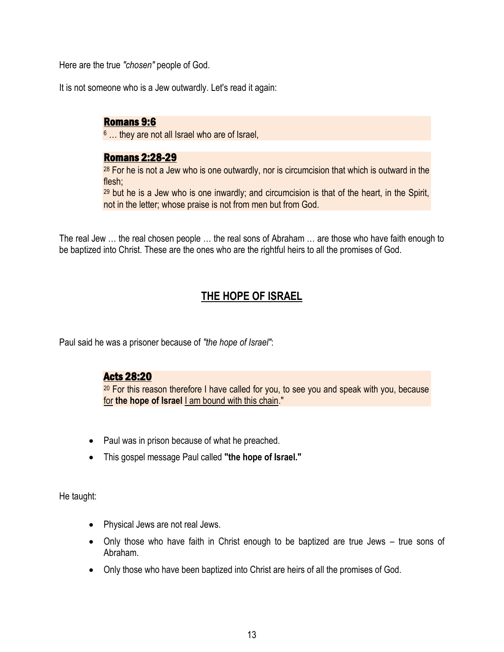Here are the true *"chosen"* people of God.

It is not someone who is a Jew outwardly. Let's read it again:

# Romans 9:6

<sup>6</sup> … they are not all Israel who are of Israel,

# Romans 2:28-29

 $28$  For he is not a Jew who is one outwardly, nor is circumcision that which is outward in the flesh;

 $29$  but he is a Jew who is one inwardly; and circumcision is that of the heart, in the Spirit, not in the letter; whose praise is not from men but from God.

The real Jew … the real chosen people … the real sons of Abraham … are those who have faith enough to be baptized into Christ. These are the ones who are the rightful heirs to all the promises of God.

# **THE HOPE OF ISRAEL**

Paul said he was a prisoner because of *"the hope of Israel"*:

# Acts 28:20

 $20$  For this reason therefore I have called for you, to see you and speak with you, because for **the hope of Israel** I am bound with this chain."

- Paul was in prison because of what he preached.
- This gospel message Paul called **"the hope of Israel."**

He taught:

- Physical Jews are not real Jews.
- Only those who have faith in Christ enough to be baptized are true Jews true sons of Abraham.
- Only those who have been baptized into Christ are heirs of all the promises of God.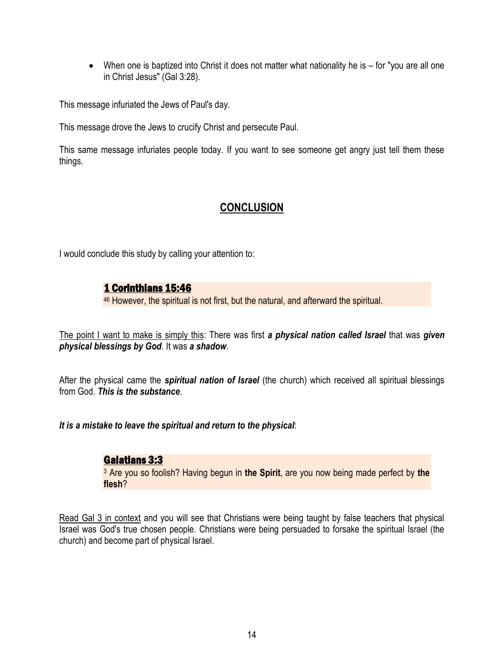When one is baptized into Christ it does not matter what nationality he is – for "you are all one in Christ Jesus" (Gal 3:28).

This message infuriated the Jews of Paul's day.

This message drove the Jews to crucify Christ and persecute Paul.

This same message infuriates people today. If you want to see someone get angry just tell them these things.

# **CONCLUSION**

I would conclude this study by calling your attention to:

# 1 Corinthians 15:46

<sup>46</sup> However, the spiritual is not first, but the natural, and afterward the spiritual.

The point I want to make is simply this: There was first *a physical nation called Israel* that was *given physical blessings by God*. It was *a shadow*.

After the physical came the *spiritual nation of Israel* (the church) which received all spiritual blessings from God. *This is the substance*.

*It is a mistake to leave the spiritual and return to the physical*:

# Galatians 3:3

<sup>3</sup> Are you so foolish? Having begun in **the Spirit**, are you now being made perfect by **the flesh**?

Read Gal 3 in context and you will see that Christians were being taught by false teachers that physical Israel was God's true chosen people. Christians were being persuaded to forsake the spiritual Israel (the church) and become part of physical Israel.